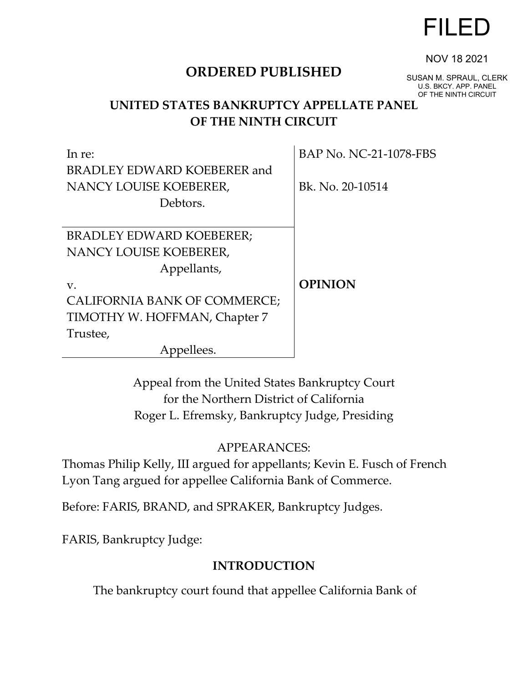# FILED

# **ORDERED PUBLISHED**

SUSAN M. SPRAUL, CLERK U.S. BKCY. APP. PANEL OF THE NINTH CIRCUIT

NOV 18 2021

# **UNITED STATES BANKRUPTCY APPELLATE PANEL OF THE NINTH CIRCUIT**

 $\mathbf{r}$ 

| In re:                          | BAP No. NC-21-1078-FBS |
|---------------------------------|------------------------|
| BRADLEY EDWARD KOEBERER and     |                        |
| NANCY LOUISE KOEBERER,          | Bk. No. 20-10514       |
| Debtors.                        |                        |
|                                 |                        |
| <b>BRADLEY EDWARD KOEBERER;</b> |                        |
| NANCY LOUISE KOEBERER,          |                        |
| Appellants,                     |                        |
| V.                              | <b>OPINION</b>         |
| CALIFORNIA BANK OF COMMERCE;    |                        |
| TIMOTHY W. HOFFMAN, Chapter 7   |                        |
| Trustee,                        |                        |
| Appellees.                      |                        |

Appeal from the United States Bankruptcy Court for the Northern District of California Roger L. Efremsky, Bankruptcy Judge, Presiding

# APPEARANCES:

Thomas Philip Kelly, III argued for appellants; Kevin E. Fusch of French Lyon Tang argued for appellee California Bank of Commerce.

Before: FARIS, BRAND, and SPRAKER, Bankruptcy Judges.

FARIS, Bankruptcy Judge:

# **INTRODUCTION**

The bankruptcy court found that appellee California Bank of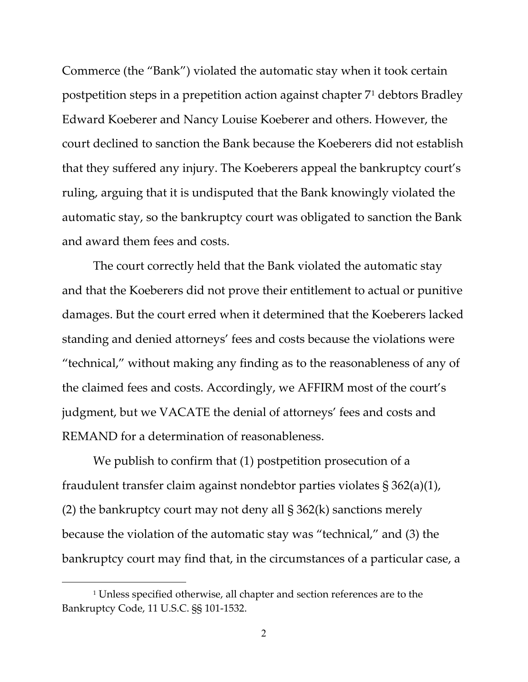Commerce (the "Bank") violated the automatic stay when it took certain postpetition steps in a prepetition action against chapter 7[1](#page-1-0) debtors Bradley Edward Koeberer and Nancy Louise Koeberer and others. However, the court declined to sanction the Bank because the Koeberers did not establish that they suffered any injury. The Koeberers appeal the bankruptcy court's ruling, arguing that it is undisputed that the Bank knowingly violated the automatic stay, so the bankruptcy court was obligated to sanction the Bank and award them fees and costs.

The court correctly held that the Bank violated the automatic stay and that the Koeberers did not prove their entitlement to actual or punitive damages. But the court erred when it determined that the Koeberers lacked standing and denied attorneys' fees and costs because the violations were "technical," without making any finding as to the reasonableness of any of the claimed fees and costs. Accordingly, we AFFIRM most of the court's judgment, but we VACATE the denial of attorneys' fees and costs and REMAND for a determination of reasonableness.

We publish to confirm that (1) postpetition prosecution of a fraudulent transfer claim against nondebtor parties violates § 362(a)(1), (2) the bankruptcy court may not deny all  $\S 362(k)$  sanctions merely because the violation of the automatic stay was "technical," and (3) the bankruptcy court may find that, in the circumstances of a particular case, a

<span id="page-1-0"></span><sup>&</sup>lt;sup>1</sup> Unless specified otherwise, all chapter and section references are to the Bankruptcy Code, 11 U.S.C. §§ 101-1532.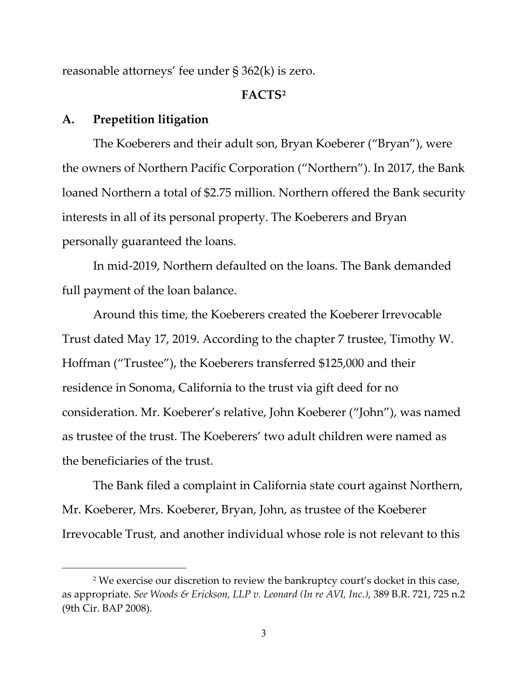reasonable attorneys' fee under § 362(k) is zero.

## **FACTS[2](#page-2-0)**

## **A. Prepetition litigation**

The Koeberers and their adult son, Bryan Koeberer ("Bryan"), were the owners of Northern Pacific Corporation ("Northern"). In 2017, the Bank loaned Northern a total of \$2.75 million. Northern offered the Bank security interests in all of its personal property. The Koeberers and Bryan personally guaranteed the loans.

In mid-2019, Northern defaulted on the loans. The Bank demanded full payment of the loan balance.

Around this time, the Koeberers created the Koeberer Irrevocable Trust dated May 17, 2019. According to the chapter 7 trustee, Timothy W. Hoffman ("Trustee"), the Koeberers transferred \$125,000 and their residence in Sonoma, California to the trust via gift deed for no consideration. Mr. Koeberer's relative, John Koeberer ("John"), was named as trustee of the trust. The Koeberers' two adult children were named as the beneficiaries of the trust.

The Bank filed a complaint in California state court against Northern, Mr. Koeberer, Mrs. Koeberer, Bryan, John, as trustee of the Koeberer Irrevocable Trust, and another individual whose role is not relevant to this

<span id="page-2-0"></span><sup>&</sup>lt;sup>2</sup> We exercise our discretion to review the bankruptcy court's docket in this case, as appropriate. *See Woods & Erickson, LLP v. Leonard (In re AVI, Inc.)*, 389 B.R. 721, 725 n.2 (9th Cir. BAP 2008).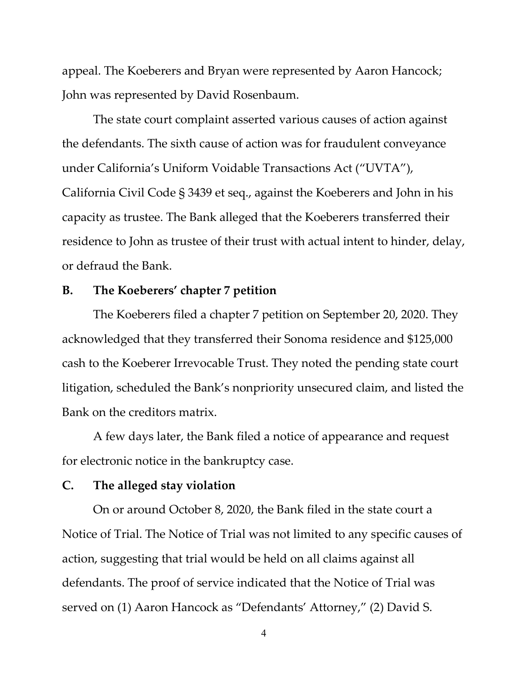appeal. The Koeberers and Bryan were represented by Aaron Hancock; John was represented by David Rosenbaum.

The state court complaint asserted various causes of action against the defendants. The sixth cause of action was for fraudulent conveyance under California's Uniform Voidable Transactions Act ("UVTA"), California Civil Code § 3439 et seq., against the Koeberers and John in his capacity as trustee. The Bank alleged that the Koeberers transferred their residence to John as trustee of their trust with actual intent to hinder, delay, or defraud the Bank.

## **B. The Koeberers' chapter 7 petition**

The Koeberers filed a chapter 7 petition on September 20, 2020. They acknowledged that they transferred their Sonoma residence and \$125,000 cash to the Koeberer Irrevocable Trust. They noted the pending state court litigation, scheduled the Bank's nonpriority unsecured claim, and listed the Bank on the creditors matrix.

A few days later, the Bank filed a notice of appearance and request for electronic notice in the bankruptcy case.

## **C. The alleged stay violation**

On or around October 8, 2020, the Bank filed in the state court a Notice of Trial. The Notice of Trial was not limited to any specific causes of action, suggesting that trial would be held on all claims against all defendants. The proof of service indicated that the Notice of Trial was served on (1) Aaron Hancock as "Defendants' Attorney," (2) David S.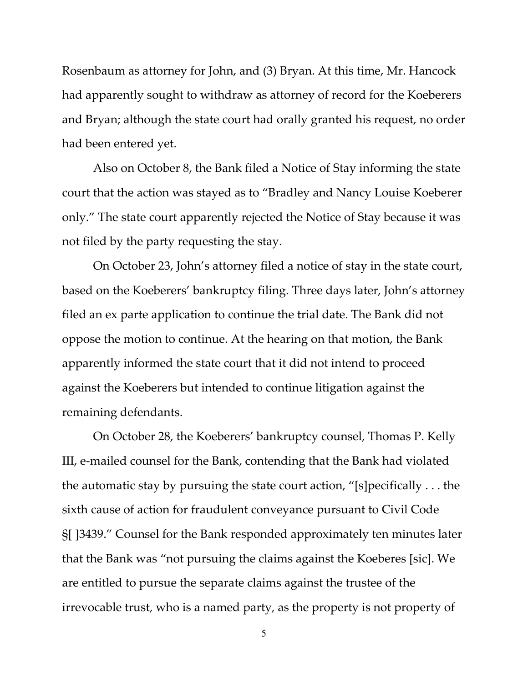Rosenbaum as attorney for John, and (3) Bryan. At this time, Mr. Hancock had apparently sought to withdraw as attorney of record for the Koeberers and Bryan; although the state court had orally granted his request, no order had been entered yet.

Also on October 8, the Bank filed a Notice of Stay informing the state court that the action was stayed as to "Bradley and Nancy Louise Koeberer only." The state court apparently rejected the Notice of Stay because it was not filed by the party requesting the stay.

On October 23, John's attorney filed a notice of stay in the state court, based on the Koeberers' bankruptcy filing. Three days later, John's attorney filed an ex parte application to continue the trial date. The Bank did not oppose the motion to continue. At the hearing on that motion, the Bank apparently informed the state court that it did not intend to proceed against the Koeberers but intended to continue litigation against the remaining defendants.

On October 28, the Koeberers' bankruptcy counsel, Thomas P. Kelly III, e-mailed counsel for the Bank, contending that the Bank had violated the automatic stay by pursuing the state court action, "[s]pecifically . . . the sixth cause of action for fraudulent conveyance pursuant to Civil Code §[ ]3439." Counsel for the Bank responded approximately ten minutes later that the Bank was "not pursuing the claims against the Koeberes [sic]. We are entitled to pursue the separate claims against the trustee of the irrevocable trust, who is a named party, as the property is not property of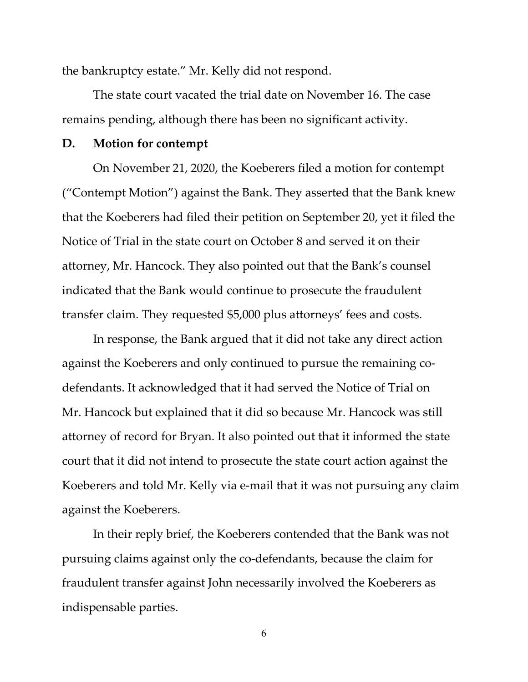the bankruptcy estate." Mr. Kelly did not respond.

The state court vacated the trial date on November 16. The case remains pending, although there has been no significant activity.

#### **D. Motion for contempt**

On November 21, 2020, the Koeberers filed a motion for contempt ("Contempt Motion") against the Bank. They asserted that the Bank knew that the Koeberers had filed their petition on September 20, yet it filed the Notice of Trial in the state court on October 8 and served it on their attorney, Mr. Hancock. They also pointed out that the Bank's counsel indicated that the Bank would continue to prosecute the fraudulent transfer claim. They requested \$5,000 plus attorneys' fees and costs.

In response, the Bank argued that it did not take any direct action against the Koeberers and only continued to pursue the remaining codefendants. It acknowledged that it had served the Notice of Trial on Mr. Hancock but explained that it did so because Mr. Hancock was still attorney of record for Bryan. It also pointed out that it informed the state court that it did not intend to prosecute the state court action against the Koeberers and told Mr. Kelly via e-mail that it was not pursuing any claim against the Koeberers.

In their reply brief, the Koeberers contended that the Bank was not pursuing claims against only the co-defendants, because the claim for fraudulent transfer against John necessarily involved the Koeberers as indispensable parties.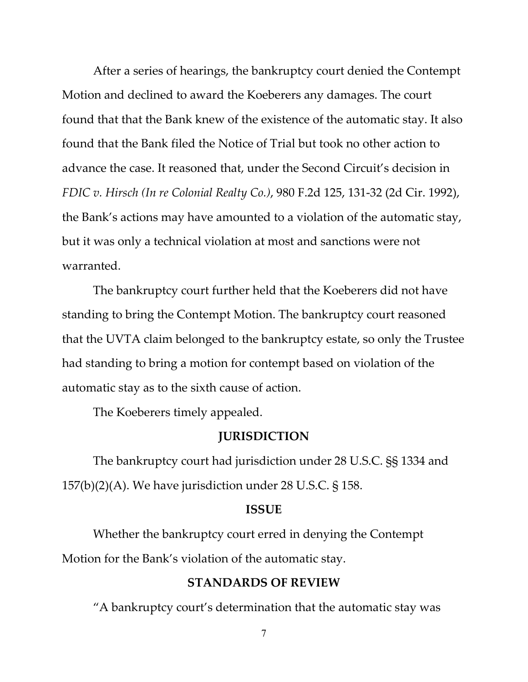After a series of hearings, the bankruptcy court denied the Contempt Motion and declined to award the Koeberers any damages. The court found that that the Bank knew of the existence of the automatic stay. It also found that the Bank filed the Notice of Trial but took no other action to advance the case. It reasoned that, under the Second Circuit's decision in *FDIC v. Hirsch (In re Colonial Realty Co.)*, 980 F.2d 125, 131-32 (2d Cir. 1992), the Bank's actions may have amounted to a violation of the automatic stay, but it was only a technical violation at most and sanctions were not warranted.

The bankruptcy court further held that the Koeberers did not have standing to bring the Contempt Motion. The bankruptcy court reasoned that the UVTA claim belonged to the bankruptcy estate, so only the Trustee had standing to bring a motion for contempt based on violation of the automatic stay as to the sixth cause of action.

The Koeberers timely appealed.

## **JURISDICTION**

The bankruptcy court had jurisdiction under 28 U.S.C. §§ 1334 and 157(b)(2)(A). We have jurisdiction under 28 U.S.C.  $\S$  158.

#### **ISSUE**

Whether the bankruptcy court erred in denying the Contempt Motion for the Bank's violation of the automatic stay.

#### **STANDARDS OF REVIEW**

"A bankruptcy court's determination that the automatic stay was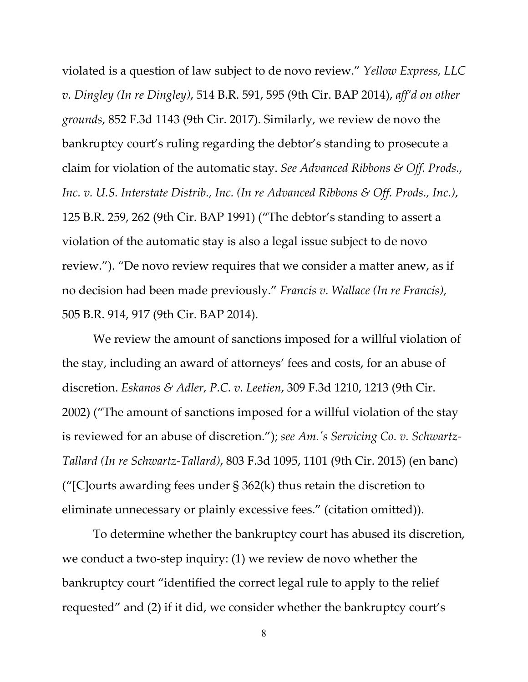violated is a question of law subject to de novo review." *Yellow Express, LLC v. Dingley (In re Dingley)*, 514 B.R. 591, 595 (9th Cir. BAP 2014), *aff'd on other grounds*, 852 F.3d 1143 (9th Cir. 2017). Similarly, we review de novo the bankruptcy court's ruling regarding the debtor's standing to prosecute a claim for violation of the automatic stay. *See Advanced Ribbons & Off. Prods., Inc. v. U.S. Interstate Distrib., Inc. (In re Advanced Ribbons & Off. Prods., Inc.)*, 125 B.R. 259, 262 (9th Cir. BAP 1991) ("The debtor's standing to assert a violation of the automatic stay is also a legal issue subject to de novo review."). "De novo review requires that we consider a matter anew, as if no decision had been made previously." *Francis v. Wallace (In re Francis)*, 505 B.R. 914, 917 (9th Cir. BAP 2014).

We review the amount of sanctions imposed for a willful violation of the stay, including an award of attorneys' fees and costs, for an abuse of discretion. *Eskanos & Adler, P.C. v. Leetien*, 309 F.3d 1210, 1213 (9th Cir. 2002) ("The amount of sanctions imposed for a willful violation of the stay is reviewed for an abuse of discretion."); *see Am.'s Servicing Co. v. Schwartz-Tallard (In re Schwartz-Tallard)*, 803 F.3d 1095, 1101 (9th Cir. 2015) (en banc) ("[C] ourts awarding fees under  $\S 362(k)$  thus retain the discretion to eliminate unnecessary or plainly excessive fees." (citation omitted)).

To determine whether the bankruptcy court has abused its discretion, we conduct a two-step inquiry: (1) we review de novo whether the bankruptcy court "identified the correct legal rule to apply to the relief requested" and (2) if it did, we consider whether the bankruptcy court's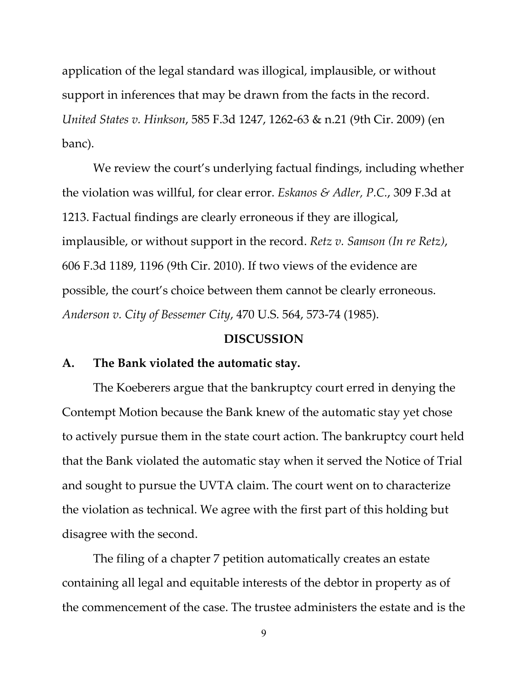application of the legal standard was illogical, implausible, or without support in inferences that may be drawn from the facts in the record. *United States v. Hinkson*, 585 F.3d 1247, 1262-63 & n.21 (9th Cir. 2009) (en banc).

We review the court's underlying factual findings, including whether the violation was willful, for clear error. *Eskanos & Adler, P.C.*, 309 F.3d at 1213. Factual findings are clearly erroneous if they are illogical, implausible, or without support in the record. *Retz v. Samson (In re Retz)*, 606 F.3d 1189, 1196 (9th Cir. 2010). If two views of the evidence are possible, the court's choice between them cannot be clearly erroneous. *Anderson v. City of Bessemer City*, 470 U.S. 564, 573-74 (1985).

#### **DISCUSSION**

#### **A. The Bank violated the automatic stay.**

The Koeberers argue that the bankruptcy court erred in denying the Contempt Motion because the Bank knew of the automatic stay yet chose to actively pursue them in the state court action. The bankruptcy court held that the Bank violated the automatic stay when it served the Notice of Trial and sought to pursue the UVTA claim. The court went on to characterize the violation as technical. We agree with the first part of this holding but disagree with the second.

The filing of a chapter 7 petition automatically creates an estate containing all legal and equitable interests of the debtor in property as of the commencement of the case. The trustee administers the estate and is the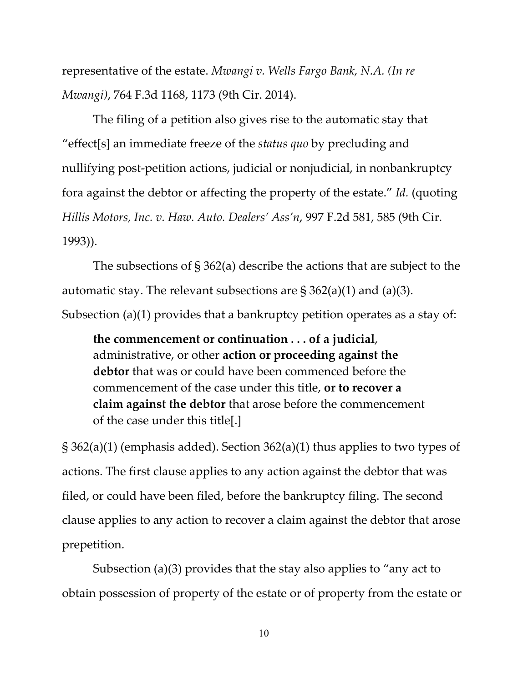representative of the estate. *Mwangi v. Wells Fargo Bank, N.A. (In re Mwangi)*, 764 F.3d 1168, 1173 (9th Cir. 2014).

The filing of a petition also gives rise to the automatic stay that "effect[s] an immediate freeze of the *status quo* by precluding and nullifying post-petition actions, judicial or nonjudicial, in nonbankruptcy fora against the debtor or affecting the property of the estate." *Id.* (quoting *Hillis Motors, Inc. v. Haw. Auto. Dealers' Ass'n*, 997 F.2d 581, 585 (9th Cir. 1993)).

The subsections of § 362(a) describe the actions that are subject to the automatic stay. The relevant subsections are  $\S 362(a)(1)$  and  $(a)(3)$ . Subsection (a)(1) provides that a bankruptcy petition operates as a stay of:

**the commencement or continuation . . . of a judicial**, administrative, or other **action or proceeding against the debtor** that was or could have been commenced before the commencement of the case under this title, **or to recover a claim against the debtor** that arose before the commencement of the case under this title[.]

§ 362(a)(1) (emphasis added). Section 362(a)(1) thus applies to two types of actions. The first clause applies to any action against the debtor that was filed, or could have been filed, before the bankruptcy filing. The second clause applies to any action to recover a claim against the debtor that arose prepetition.

Subsection (a)(3) provides that the stay also applies to "any act to obtain possession of property of the estate or of property from the estate or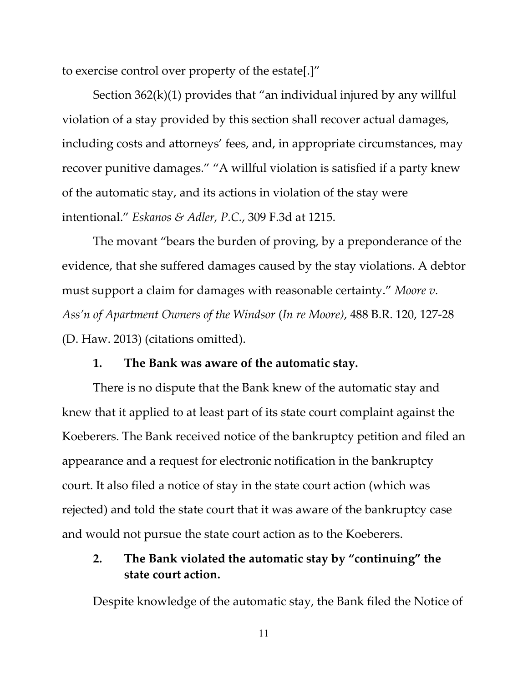to exercise control over property of the estate[.]"

Section  $362(k)(1)$  provides that "an individual injured by any willful violation of a stay provided by this section shall recover actual damages, including costs and attorneys' fees, and, in appropriate circumstances, may recover punitive damages." "A willful violation is satisfied if a party knew of the automatic stay, and its actions in violation of the stay were intentional." *Eskanos & Adler, P.C.*, 309 F.3d at 1215.

The movant "bears the burden of proving, by a preponderance of the evidence, that she suffered damages caused by the stay violations. A debtor must support a claim for damages with reasonable certainty." *Moore v. Ass'n of Apartment Owners of the Windsor* (*In re Moore)*, 488 B.R. 120, 127-28 (D. Haw. 2013) (citations omitted).

## **1. The Bank was aware of the automatic stay.**

There is no dispute that the Bank knew of the automatic stay and knew that it applied to at least part of its state court complaint against the Koeberers. The Bank received notice of the bankruptcy petition and filed an appearance and a request for electronic notification in the bankruptcy court. It also filed a notice of stay in the state court action (which was rejected) and told the state court that it was aware of the bankruptcy case and would not pursue the state court action as to the Koeberers.

# **2. The Bank violated the automatic stay by "continuing" the state court action.**

Despite knowledge of the automatic stay, the Bank filed the Notice of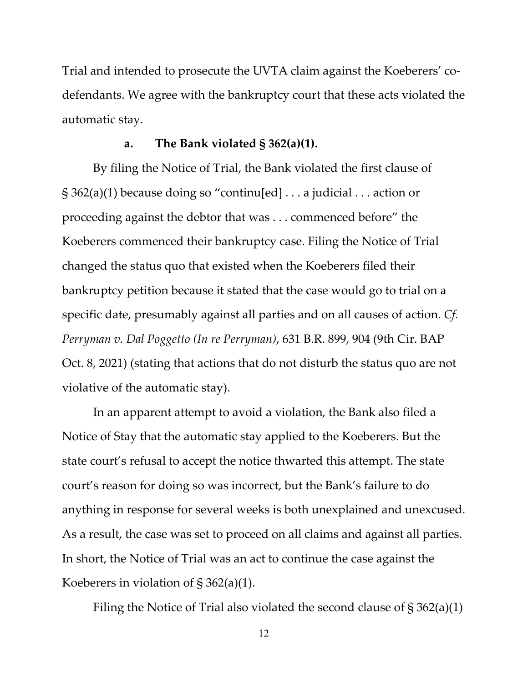Trial and intended to prosecute the UVTA claim against the Koeberers' codefendants. We agree with the bankruptcy court that these acts violated the automatic stay.

### **a. The Bank violated § 362(a)(1).**

By filing the Notice of Trial, the Bank violated the first clause of  $\S 362(a)(1)$  because doing so "continu[ed] ... a judicial ... action or proceeding against the debtor that was . . . commenced before" the Koeberers commenced their bankruptcy case. Filing the Notice of Trial changed the status quo that existed when the Koeberers filed their bankruptcy petition because it stated that the case would go to trial on a specific date, presumably against all parties and on all causes of action. *Cf. Perryman v. Dal Poggetto (In re Perryman)*, 631 B.R. 899, 904 (9th Cir. BAP Oct. 8, 2021) (stating that actions that do not disturb the status quo are not violative of the automatic stay).

In an apparent attempt to avoid a violation, the Bank also filed a Notice of Stay that the automatic stay applied to the Koeberers. But the state court's refusal to accept the notice thwarted this attempt. The state court's reason for doing so was incorrect, but the Bank's failure to do anything in response for several weeks is both unexplained and unexcused. As a result, the case was set to proceed on all claims and against all parties. In short, the Notice of Trial was an act to continue the case against the Koeberers in violation of  $\S 362(a)(1)$ .

Filing the Notice of Trial also violated the second clause of  $\S 362(a)(1)$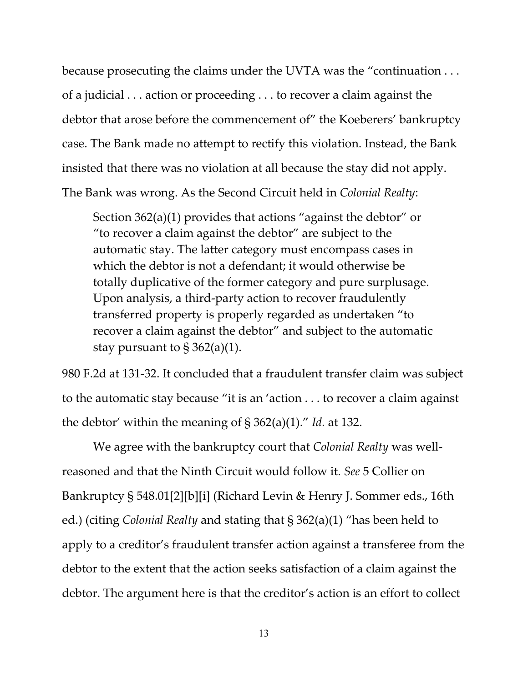because prosecuting the claims under the UVTA was the "continuation . . . of a judicial . . . action or proceeding . . . to recover a claim against the debtor that arose before the commencement of" the Koeberers' bankruptcy case. The Bank made no attempt to rectify this violation. Instead, the Bank insisted that there was no violation at all because the stay did not apply. The Bank was wrong. As the Second Circuit held in *Colonial Realty*:

Section 362(a)(1) provides that actions "against the debtor" or "to recover a claim against the debtor" are subject to the automatic stay. The latter category must encompass cases in which the debtor is not a defendant; it would otherwise be totally duplicative of the former category and pure surplusage. Upon analysis, a third-party action to recover fraudulently transferred property is properly regarded as undertaken "to recover a claim against the debtor" and subject to the automatic stay pursuant to  $\S 362(a)(1)$ .

980 F.2d at 131-32. It concluded that a fraudulent transfer claim was subject to the automatic stay because "it is an 'action . . . to recover a claim against the debtor' within the meaning of § 362(a)(1)." *Id.* at 132.

We agree with the bankruptcy court that *Colonial Realty* was wellreasoned and that the Ninth Circuit would follow it. *See* 5 Collier on Bankruptcy § 548.01[2][b][i] (Richard Levin & Henry J. Sommer eds., 16th ed.) (citing *Colonial Realty* and stating that § 362(a)(1) "has been held to apply to a creditor's fraudulent transfer action against a transferee from the debtor to the extent that the action seeks satisfaction of a claim against the debtor. The argument here is that the creditor's action is an effort to collect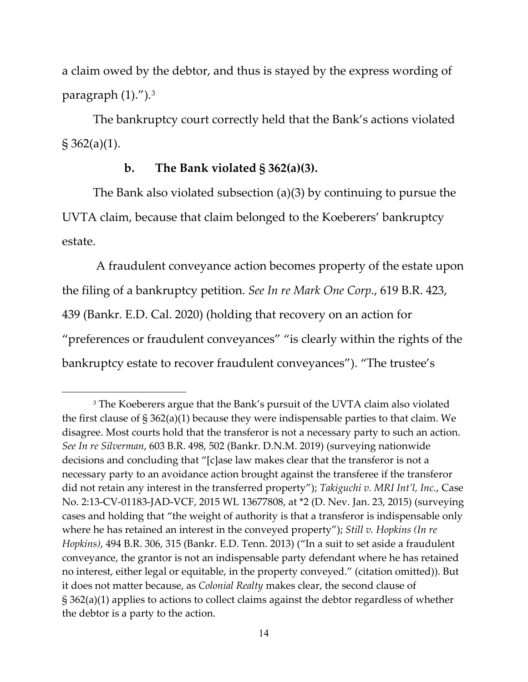a claim owed by the debtor, and thus is stayed by the express wording of paragraph  $(1)$ .").<sup>[3](#page-13-0)</sup>

The bankruptcy court correctly held that the Bank's actions violated § 362(a)(1).

## **b. The Bank violated § 362(a)(3).**

The Bank also violated subsection (a)(3) by continuing to pursue the UVTA claim, because that claim belonged to the Koeberers' bankruptcy estate.

A fraudulent conveyance action becomes property of the estate upon the filing of a bankruptcy petition. *See In re Mark One Corp.*, 619 B.R. 423, 439 (Bankr. E.D. Cal. 2020) (holding that recovery on an action for "preferences or fraudulent conveyances" "is clearly within the rights of the bankruptcy estate to recover fraudulent conveyances"). "The trustee's

<span id="page-13-0"></span><sup>&</sup>lt;sup>3</sup> The Koeberers argue that the Bank's pursuit of the UVTA claim also violated the first clause of  $\S 362(a)(1)$  because they were indispensable parties to that claim. We disagree. Most courts hold that the transferor is not a necessary party to such an action. *See In re Silverman*, 603 B.R. 498, 502 (Bankr. D.N.M. 2019) (surveying nationwide decisions and concluding that "[c]ase law makes clear that the transferor is not a necessary party to an avoidance action brought against the transferee if the transferor did not retain any interest in the transferred property"); *Takiguchi v. MRI Int'l, Inc.*, Case No. 2:13-CV-01183-JAD-VCF, 2015 WL 13677808, at \*2 (D. Nev. Jan. 23, 2015) (surveying cases and holding that "the weight of authority is that a transferor is indispensable only where he has retained an interest in the conveyed property"); *Still v. Hopkins (In re Hopkins)*, 494 B.R. 306, 315 (Bankr. E.D. Tenn. 2013) ("In a suit to set aside a fraudulent conveyance, the grantor is not an indispensable party defendant where he has retained no interest, either legal or equitable, in the property conveyed." (citation omitted)). But it does not matter because, as *Colonial Realty* makes clear, the second clause of § 362(a)(1) applies to actions to collect claims against the debtor regardless of whether the debtor is a party to the action.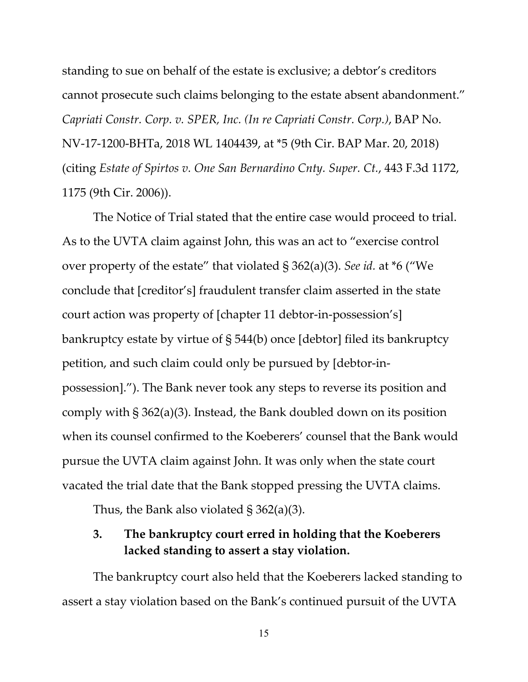standing to sue on behalf of the estate is exclusive; a debtor's creditors cannot prosecute such claims belonging to the estate absent abandonment." *Capriati Constr. Corp. v. SPER, Inc. (In re Capriati Constr. Corp.)*, BAP No. NV-17-1200-BHTa, 2018 WL 1404439, at \*5 (9th Cir. BAP Mar. 20, 2018) (citing *Estate of Spirtos v. One San Bernardino Cnty. Super. Ct.*, 443 F.3d 1172, 1175 (9th Cir. 2006)).

The Notice of Trial stated that the entire case would proceed to trial. As to the UVTA claim against John, this was an act to "exercise control over property of the estate" that violated § 362(a)(3). *See id.* at \*6 ("We conclude that [creditor's] fraudulent transfer claim asserted in the state court action was property of [chapter 11 debtor-in-possession's] bankruptcy estate by virtue of § 544(b) once [debtor] filed its bankruptcy petition, and such claim could only be pursued by [debtor-inpossession]."). The Bank never took any steps to reverse its position and comply with § 362(a)(3). Instead, the Bank doubled down on its position when its counsel confirmed to the Koeberers' counsel that the Bank would pursue the UVTA claim against John. It was only when the state court vacated the trial date that the Bank stopped pressing the UVTA claims.

Thus, the Bank also violated § 362(a)(3).

# **3. The bankruptcy court erred in holding that the Koeberers lacked standing to assert a stay violation.**

The bankruptcy court also held that the Koeberers lacked standing to assert a stay violation based on the Bank's continued pursuit of the UVTA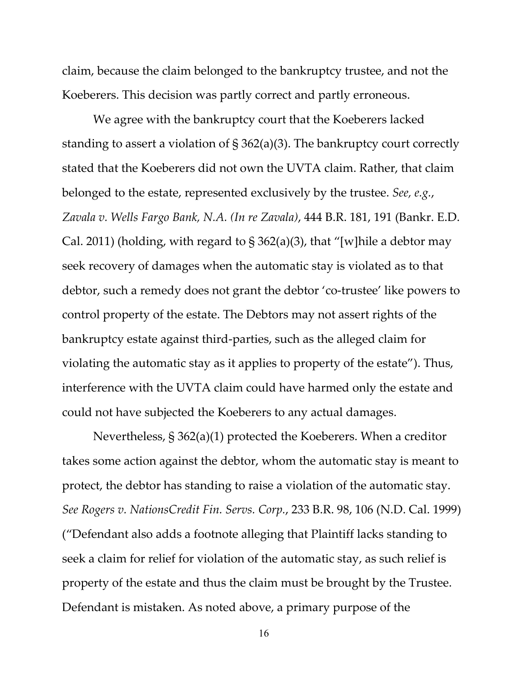claim, because the claim belonged to the bankruptcy trustee, and not the Koeberers. This decision was partly correct and partly erroneous.

We agree with the bankruptcy court that the Koeberers lacked standing to assert a violation of § 362(a)(3). The bankruptcy court correctly stated that the Koeberers did not own the UVTA claim. Rather, that claim belonged to the estate, represented exclusively by the trustee. *See, e.g.*, *Zavala v. Wells Fargo Bank, N.A. (In re Zavala)*, 444 B.R. 181, 191 (Bankr. E.D. Cal. 2011) (holding, with regard to  $\S 362(a)(3)$ , that "[w] hile a debtor may seek recovery of damages when the automatic stay is violated as to that debtor, such a remedy does not grant the debtor 'co-trustee' like powers to control property of the estate. The Debtors may not assert rights of the bankruptcy estate against third-parties, such as the alleged claim for violating the automatic stay as it applies to property of the estate"). Thus, interference with the UVTA claim could have harmed only the estate and could not have subjected the Koeberers to any actual damages.

Nevertheless, § 362(a)(1) protected the Koeberers. When a creditor takes some action against the debtor, whom the automatic stay is meant to protect, the debtor has standing to raise a violation of the automatic stay. *See Rogers v. NationsCredit Fin. Servs. Corp.*, 233 B.R. 98, 106 (N.D. Cal. 1999) ("Defendant also adds a footnote alleging that Plaintiff lacks standing to seek a claim for relief for violation of the automatic stay, as such relief is property of the estate and thus the claim must be brought by the Trustee. Defendant is mistaken. As noted above, a primary purpose of the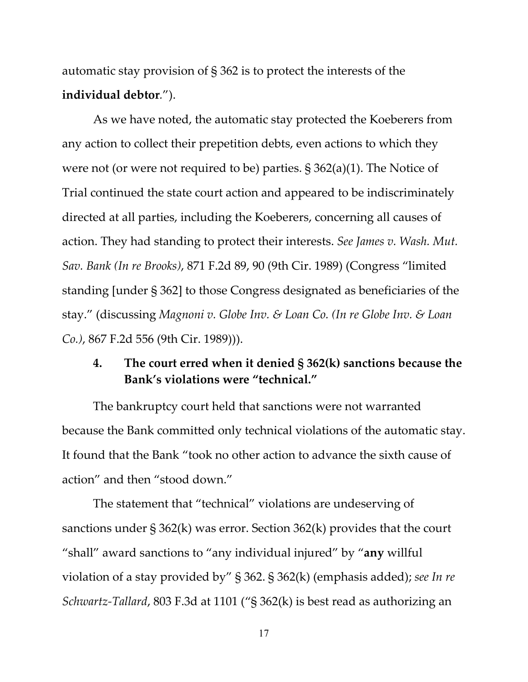automatic stay provision of § 362 is to protect the interests of the **individual debtor***.*").

As we have noted, the automatic stay protected the Koeberers from any action to collect their prepetition debts, even actions to which they were not (or were not required to be) parties. § 362(a)(1). The Notice of Trial continued the state court action and appeared to be indiscriminately directed at all parties, including the Koeberers, concerning all causes of action. They had standing to protect their interests. *See James v. Wash. Mut. Sav. Bank (In re Brooks)*, 871 F.2d 89, 90 (9th Cir. 1989) (Congress "limited standing [under § 362] to those Congress designated as beneficiaries of the stay." (discussing *Magnoni v. Globe Inv. & Loan Co. (In re Globe Inv. & Loan Co.)*, 867 F.2d 556 (9th Cir. 1989))).

# **4. The court erred when it denied § 362(k) sanctions because the Bank's violations were "technical."**

The bankruptcy court held that sanctions were not warranted because the Bank committed only technical violations of the automatic stay. It found that the Bank "took no other action to advance the sixth cause of action" and then "stood down."

The statement that "technical" violations are undeserving of sanctions under § 362(k) was error. Section 362(k) provides that the court "shall" award sanctions to "any individual injured" by "**any** willful violation of a stay provided by" § 362. § 362(k) (emphasis added); *see In re Schwartz-Tallard*, 803 F.3d at 1101 ("§ 362(k) is best read as authorizing an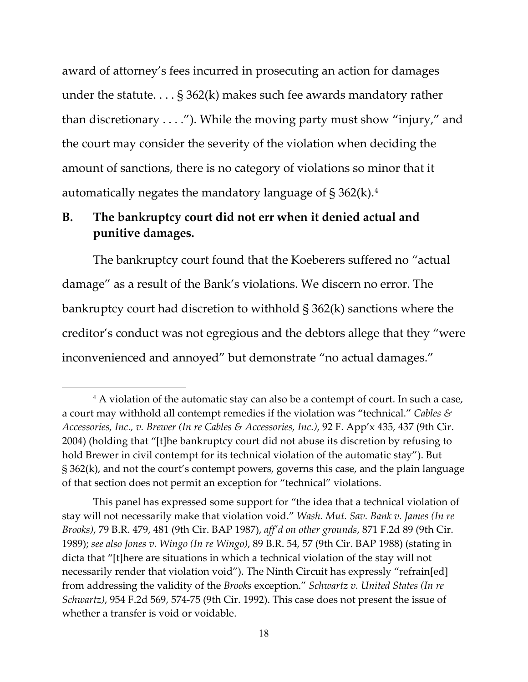award of attorney's fees incurred in prosecuting an action for damages under the statute. . . . § 362(k) makes such fee awards mandatory rather than discretionary . . . ."). While the moving party must show "injury," and the court may consider the severity of the violation when deciding the amount of sanctions, there is no category of violations so minor that it automatically negates the mandatory language of  $\S 362(k).4$  $\S 362(k).4$ 

# **B. The bankruptcy court did not err when it denied actual and punitive damages.**

The bankruptcy court found that the Koeberers suffered no "actual damage" as a result of the Bank's violations. We discern no error. The bankruptcy court had discretion to withhold § 362(k) sanctions where the creditor's conduct was not egregious and the debtors allege that they "were inconvenienced and annoyed" but demonstrate "no actual damages."

<span id="page-17-0"></span><sup>&</sup>lt;sup>4</sup> A violation of the automatic stay can also be a contempt of court. In such a case, a court may withhold all contempt remedies if the violation was "technical." *Cables & Accessories, Inc., v. Brewer (In re Cables & Accessories, Inc.)*, 92 F. App'x 435, 437 (9th Cir. 2004) (holding that "[t]he bankruptcy court did not abuse its discretion by refusing to hold Brewer in civil contempt for its technical violation of the automatic stay"). But § 362(k), and not the court's contempt powers, governs this case, and the plain language of that section does not permit an exception for "technical" violations.

This panel has expressed some support for "the idea that a technical violation of stay will not necessarily make that violation void." *Wash. Mut. Sav. Bank v. James (In re Brooks)*, 79 B.R. 479, 481 (9th Cir. BAP 1987), *aff'd on other grounds*, 871 F.2d 89 (9th Cir. 1989); *see also Jones v. Wingo (In re Wingo)*, 89 B.R. 54, 57 (9th Cir. BAP 1988) (stating in dicta that "[t]here are situations in which a technical violation of the stay will not necessarily render that violation void"). The Ninth Circuit has expressly "refrain[ed] from addressing the validity of the *Brooks* exception." *Schwartz v. United States (In re Schwartz)*, 954 F.2d 569, 574-75 (9th Cir. 1992). This case does not present the issue of whether a transfer is void or voidable.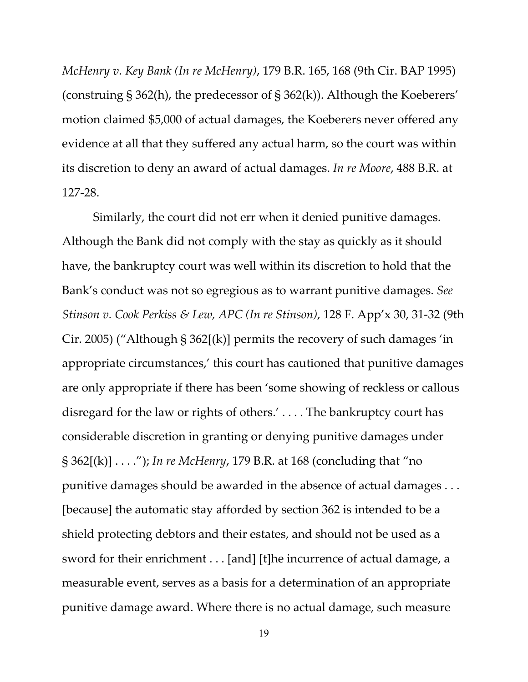*McHenry v. Key Bank (In re McHenry)*, 179 B.R. 165, 168 (9th Cir. BAP 1995) (construing § 362(h), the predecessor of § 362(k)). Although the Koeberers' motion claimed \$5,000 of actual damages, the Koeberers never offered any evidence at all that they suffered any actual harm, so the court was within its discretion to deny an award of actual damages. *In re Moore*, 488 B.R. at 127-28.

Similarly, the court did not err when it denied punitive damages. Although the Bank did not comply with the stay as quickly as it should have, the bankruptcy court was well within its discretion to hold that the Bank's conduct was not so egregious as to warrant punitive damages. *See Stinson v. Cook Perkiss & Lew, APC (In re Stinson)*, 128 F. App'x 30, 31-32 (9th Cir. 2005) ("Although § 362[(k)] permits the recovery of such damages 'in appropriate circumstances,' this court has cautioned that punitive damages are only appropriate if there has been 'some showing of reckless or callous disregard for the law or rights of others.' . . . . The bankruptcy court has considerable discretion in granting or denying punitive damages under § 362[(k)] . . . ."); *In re McHenry*, 179 B.R. at 168 (concluding that "no punitive damages should be awarded in the absence of actual damages . . . [because] the automatic stay afforded by section 362 is intended to be a shield protecting debtors and their estates, and should not be used as a sword for their enrichment . . . [and] [t]he incurrence of actual damage, a measurable event, serves as a basis for a determination of an appropriate punitive damage award. Where there is no actual damage, such measure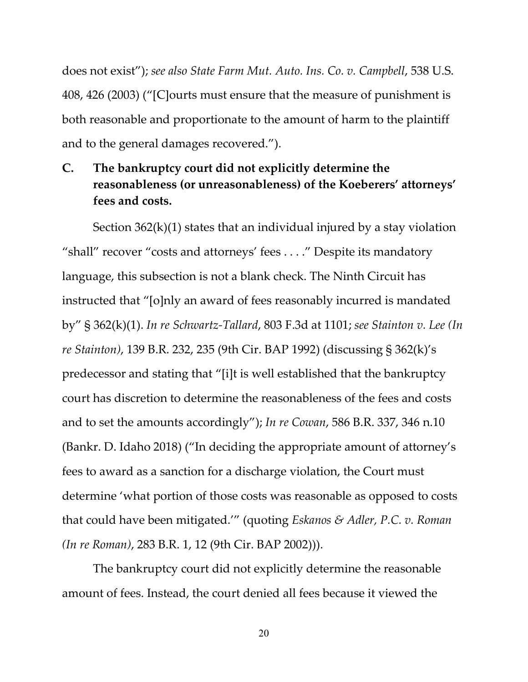does not exist"); *see also State Farm Mut. Auto. Ins. Co. v. Campbell*, 538 U.S. 408, 426 (2003) ("[C]ourts must ensure that the measure of punishment is both reasonable and proportionate to the amount of harm to the plaintiff and to the general damages recovered.").

**C. The bankruptcy court did not explicitly determine the reasonableness (or unreasonableness) of the Koeberers' attorneys' fees and costs.** 

Section  $362(k)(1)$  states that an individual injured by a stay violation "shall" recover "costs and attorneys' fees . . . ." Despite its mandatory language, this subsection is not a blank check. The Ninth Circuit has instructed that "[o]nly an award of fees reasonably incurred is mandated by" § 362(k)(1). *In re Schwartz-Tallard*, 803 F.3d at 1101; *see Stainton v. Lee (In re Stainton)*, 139 B.R. 232, 235 (9th Cir. BAP 1992) (discussing § 362(k)'s predecessor and stating that "[i]t is well established that the bankruptcy court has discretion to determine the reasonableness of the fees and costs and to set the amounts accordingly"); *In re Cowan*, 586 B.R. 337, 346 n.10 (Bankr. D. Idaho 2018) ("In deciding the appropriate amount of attorney's fees to award as a sanction for a discharge violation, the Court must determine 'what portion of those costs was reasonable as opposed to costs that could have been mitigated.'" (quoting *Eskanos & Adler, P.C. v. Roman (In re Roman)*, 283 B.R. 1, 12 (9th Cir. BAP 2002))).

The bankruptcy court did not explicitly determine the reasonable amount of fees. Instead, the court denied all fees because it viewed the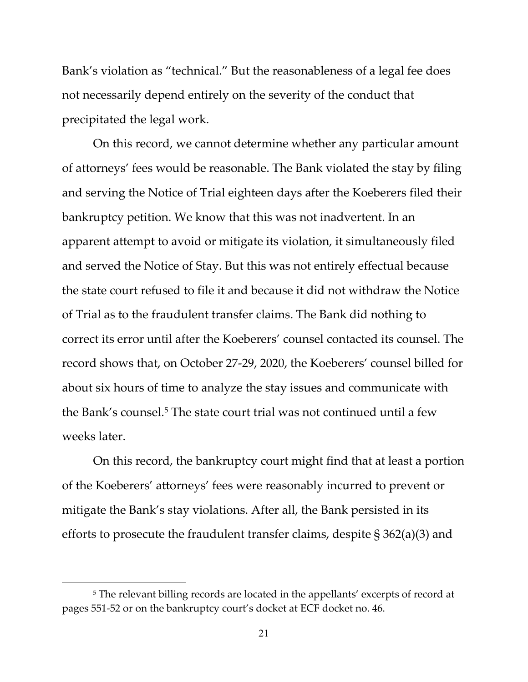Bank's violation as "technical." But the reasonableness of a legal fee does not necessarily depend entirely on the severity of the conduct that precipitated the legal work.

On this record, we cannot determine whether any particular amount of attorneys' fees would be reasonable. The Bank violated the stay by filing and serving the Notice of Trial eighteen days after the Koeberers filed their bankruptcy petition. We know that this was not inadvertent. In an apparent attempt to avoid or mitigate its violation, it simultaneously filed and served the Notice of Stay. But this was not entirely effectual because the state court refused to file it and because it did not withdraw the Notice of Trial as to the fraudulent transfer claims. The Bank did nothing to correct its error until after the Koeberers' counsel contacted its counsel. The record shows that, on October 27-29, 2020, the Koeberers' counsel billed for about six hours of time to analyze the stay issues and communicate with the Bank's counsel. [5](#page-20-0) The state court trial was not continued until a few weeks later.

On this record, the bankruptcy court might find that at least a portion of the Koeberers' attorneys' fees were reasonably incurred to prevent or mitigate the Bank's stay violations. After all, the Bank persisted in its efforts to prosecute the fraudulent transfer claims, despite § 362(a)(3) and

<span id="page-20-0"></span><sup>&</sup>lt;sup>5</sup> The relevant billing records are located in the appellants' excerpts of record at pages 551-52 or on the bankruptcy court's docket at ECF docket no. 46.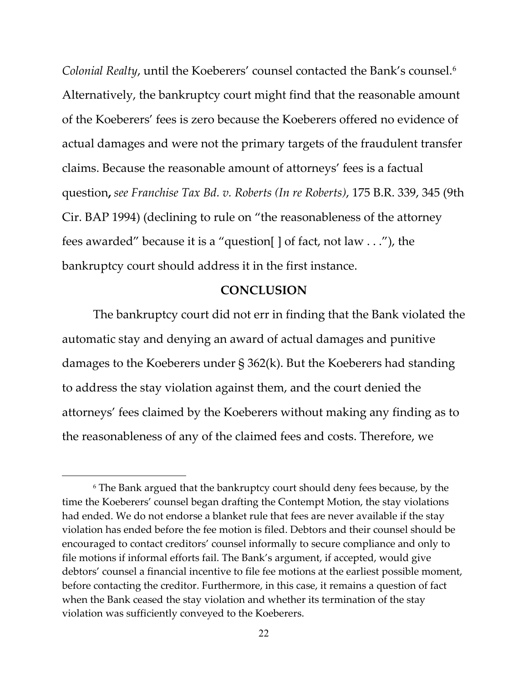*Colonial Realty*, until the Koeberers' counsel contacted the Bank's counsel.[6](#page-21-0) Alternatively, the bankruptcy court might find that the reasonable amount of the Koeberers' fees is zero because the Koeberers offered no evidence of actual damages and were not the primary targets of the fraudulent transfer claims. Because the reasonable amount of attorneys' fees is a factual question**,** *see Franchise Tax Bd. v. Roberts (In re Roberts)*, 175 B.R. 339, 345 (9th Cir. BAP 1994) (declining to rule on "the reasonableness of the attorney fees awarded" because it is a "question[ ] of fact, not law . . ."), the bankruptcy court should address it in the first instance.

## **CONCLUSION**

The bankruptcy court did not err in finding that the Bank violated the automatic stay and denying an award of actual damages and punitive damages to the Koeberers under § 362(k). But the Koeberers had standing to address the stay violation against them, and the court denied the attorneys' fees claimed by the Koeberers without making any finding as to the reasonableness of any of the claimed fees and costs. Therefore, we

<span id="page-21-0"></span><sup>6</sup> The Bank argued that the bankruptcy court should deny fees because, by the time the Koeberers' counsel began drafting the Contempt Motion, the stay violations had ended. We do not endorse a blanket rule that fees are never available if the stay violation has ended before the fee motion is filed. Debtors and their counsel should be encouraged to contact creditors' counsel informally to secure compliance and only to file motions if informal efforts fail. The Bank's argument, if accepted, would give debtors' counsel a financial incentive to file fee motions at the earliest possible moment, before contacting the creditor. Furthermore, in this case, it remains a question of fact when the Bank ceased the stay violation and whether its termination of the stay violation was sufficiently conveyed to the Koeberers.